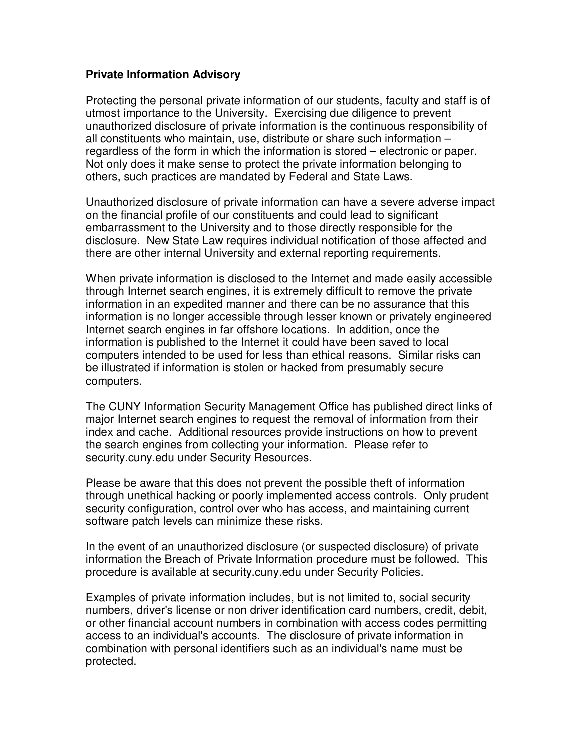## **Private Information Advisory**

Protecting the personal private information of our students, faculty and staff is of utmost importance to the University. Exercising due diligence to prevent unauthorized disclosure of private information is the continuous responsibility of all constituents who maintain, use, distribute or share such information – regardless of the form in which the information is stored – electronic or paper. Not only does it make sense to protect the private information belonging to others, such practices are mandated by Federal and State Laws.

Unauthorized disclosure of private information can have a severe adverse impact on the financial profile of our constituents and could lead to significant embarrassment to the University and to those directly responsible for the disclosure. New State Law requires individual notification of those affected and there are other internal University and external reporting requirements.

When private information is disclosed to the Internet and made easily accessible through Internet search engines, it is extremely difficult to remove the private information in an expedited manner and there can be no assurance that this information is no longer accessible through lesser known or privately engineered Internet search engines in far offshore locations. In addition, once the information is published to the Internet it could have been saved to local computers intended to be used for less than ethical reasons. Similar risks can be illustrated if information is stolen or hacked from presumably secure computers.

The CUNY Information Security Management Office has published direct links of major Internet search engines to request the removal of information from their index and cache. Additional resources provide instructions on how to prevent the search engines from collecting your information. Please refer to security.cuny.edu under Security Resources.

Please be aware that this does not prevent the possible theft of information through unethical hacking or poorly implemented access controls. Only prudent security configuration, control over who has access, and maintaining current software patch levels can minimize these risks.

In the event of an unauthorized disclosure (or suspected disclosure) of private information the Breach of Private Information procedure must be followed. This procedure is available at security.cuny.edu under Security Policies.

Examples of private information includes, but is not limited to, social security numbers, driver's license or non driver identification card numbers, credit, debit, or other financial account numbers in combination with access codes permitting access to an individual's accounts. The disclosure of private information in combination with personal identifiers such as an individual's name must be protected.